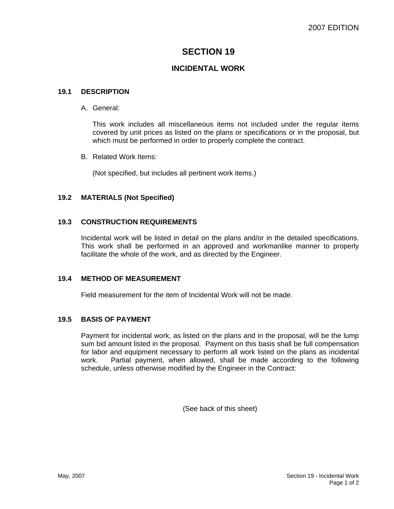# **SECTION 19**

# **INCIDENTAL WORK**

### **19.1 DESCRIPTION**

#### A. General:

This work includes all miscellaneous items not included under the regular items covered by unit prices as listed on the plans or specifications or in the proposal, but which must be performed in order to properly complete the contract.

B. Related Work Items:

(Not specified, but includes all pertinent work items.)

## **19.2 MATERIALS (Not Specified)**

#### **19.3 CONSTRUCTION REQUIREMENTS**

Incidental work will be listed in detail on the plans and/or in the detailed specifications. This work shall be performed in an approved and workmanlike manner to properly facilitate the whole of the work, and as directed by the Engineer.

#### **19.4 METHOD OF MEASUREMENT**

Field measurement for the item of Incidental Work will not be made.

## **19.5 BASIS OF PAYMENT**

Payment for incidental work, as listed on the plans and in the proposal, will be the lump sum bid amount listed in the proposal. Payment on this basis shall be full compensation for labor and equipment necessary to perform all work listed on the plans as incidental work. Partial payment, when allowed, shall be made according to the following schedule, unless otherwise modified by the Engineer in the Contract:

(See back of this sheet)